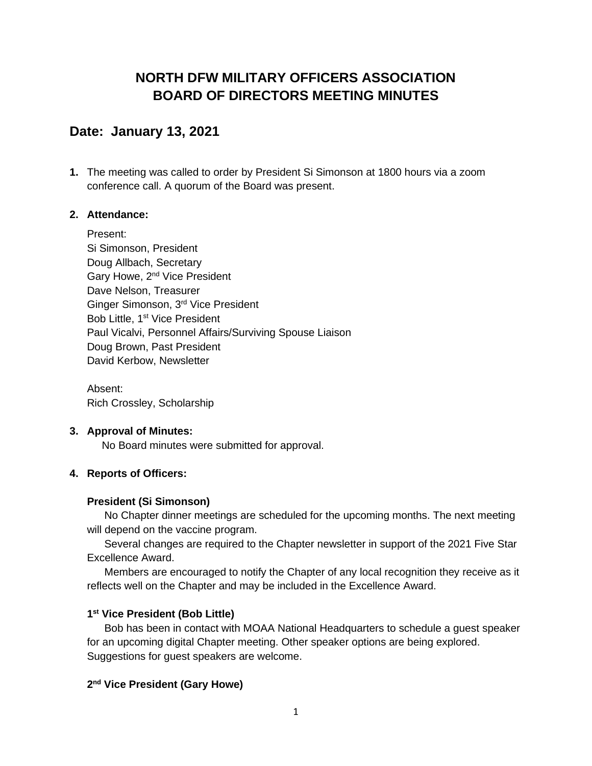# **NORTH DFW MILITARY OFFICERS ASSOCIATION BOARD OF DIRECTORS MEETING MINUTES**

## **Date: January 13, 2021**

**1.** The meeting was called to order by President Si Simonson at 1800 hours via a zoom conference call. A quorum of the Board was present.

## **2. Attendance:**

Present: Si Simonson, President Doug Allbach, Secretary Gary Howe, 2<sup>nd</sup> Vice President Dave Nelson, Treasurer Ginger Simonson, 3rd Vice President Bob Little, 1<sup>st</sup> Vice President Paul Vicalvi, Personnel Affairs/Surviving Spouse Liaison Doug Brown, Past President David Kerbow, Newsletter

Absent: Rich Crossley, Scholarship

## **3. Approval of Minutes:**

No Board minutes were submitted for approval.

## **4. Reports of Officers:**

## **President (Si Simonson)**

No Chapter dinner meetings are scheduled for the upcoming months. The next meeting will depend on the vaccine program.

Several changes are required to the Chapter newsletter in support of the 2021 Five Star Excellence Award.

Members are encouraged to notify the Chapter of any local recognition they receive as it reflects well on the Chapter and may be included in the Excellence Award.

## **1 st Vice President (Bob Little)**

Bob has been in contact with MOAA National Headquarters to schedule a guest speaker for an upcoming digital Chapter meeting. Other speaker options are being explored. Suggestions for guest speakers are welcome.

## **2 nd Vice President (Gary Howe)**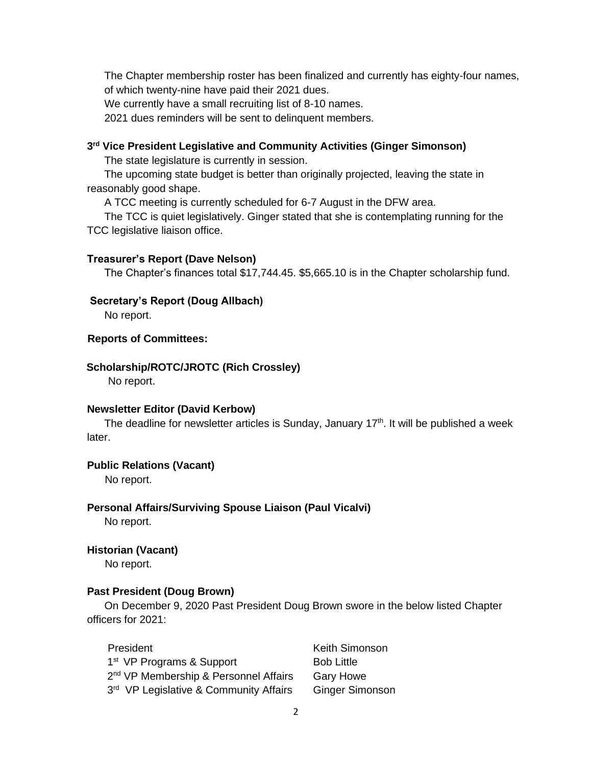The Chapter membership roster has been finalized and currently has eighty-four names, of which twenty-nine have paid their 2021 dues.

We currently have a small recruiting list of 8-10 names.

2021 dues reminders will be sent to delinquent members.

#### **3 rd Vice President Legislative and Community Activities (Ginger Simonson)**

The state legislature is currently in session.

The upcoming state budget is better than originally projected, leaving the state in reasonably good shape.

A TCC meeting is currently scheduled for 6-7 August in the DFW area.

The TCC is quiet legislatively. Ginger stated that she is contemplating running for the TCC legislative liaison office.

#### **Treasurer's Report (Dave Nelson)**

The Chapter's finances total \$17,744.45. \$5,665.10 is in the Chapter scholarship fund.

#### **Secretary's Report (Doug Allbach)**

No report.

#### **Reports of Committees:**

#### **Scholarship/ROTC/JROTC (Rich Crossley)**

No report.

#### **Newsletter Editor (David Kerbow)**

The deadline for newsletter articles is Sunday, January  $17<sup>th</sup>$ . It will be published a week later.

#### **Public Relations (Vacant)**

No report.

## **Personal Affairs/Surviving Spouse Liaison (Paul Vicalvi)**

No report.

#### **Historian (Vacant)**

No report.

#### **Past President (Doug Brown)**

On December 9, 2020 Past President Doug Brown swore in the below listed Chapter officers for 2021:

President **Keith Simonson** 1<sup>st</sup> VP Programs & Support Bob Little 2<sup>nd</sup> VP Membership & Personnel Affairs Gary Howe 3<sup>rd</sup> VP Legislative & Community Affairs Ginger Simonson